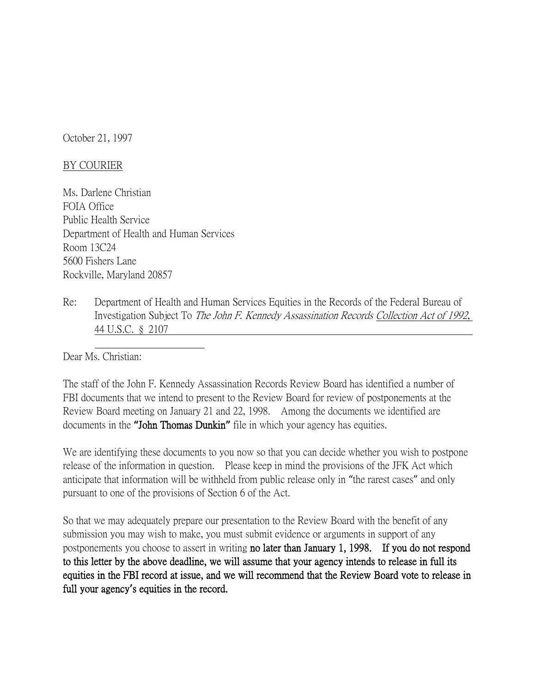October 21, 1997

## BY COURIER

Ms. Darlene Christian FOIA Office Public Health Service Department of Health and Human Services Room 13C24 5600 Fishers Lane Rockville, Maryland 20857

Re: Department of Health and Human Services Equities in the Records of the Federal Bureau of Investigation Subject To The John F. Kennedy Assassination Records Collection Act of 1992, 44 U.S.C. § 2107

Dear Ms. Christian:

The staff of the John F. Kennedy Assassination Records Review Board has identified a number of FBI documents that we intend to present to the Review Board for review of postponements at the Review Board meeting on January 21 and 22, 1998. Among the documents we identified are documents in the **"**John Thomas Dunkin**"** file in which your agency has equities.

We are identifying these documents to you now so that you can decide whether you wish to postpone release of the information in question. Please keep in mind the provisions of the JFK Act which anticipate that information will be withheld from public release only in "the rarest cases" and only pursuant to one of the provisions of Section 6 of the Act.

So that we may adequately prepare our presentation to the Review Board with the benefit of any submission you may wish to make, you must submit evidence or arguments in support of any postponements you choose to assert in writing no later than January 1, 1998. If you do not respond to this letter by the above deadline, we will assume that your agency intends to release in full its equities in the FBI record at issue, and we will recommend that the Review Board vote to release in full your agency**'**s equities in the record.